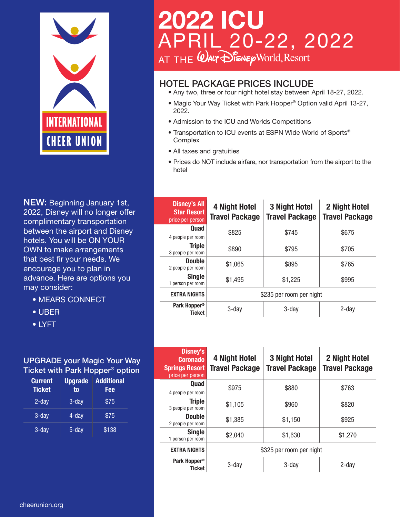

NEW: Beginning January 1st, 2022, Disney will no longer offer complimentary transportation between the airport and Disney hotels. You will be ON YOUR OWN to make arrangements that best fir your needs. We encourage you to plan in advance. Here are options you may consider:

- MEARS CONNECT
- UBER
- LYFT

#### UPGRADE your Magic Your Way Ticket with Park Hopper® option

| <b>Current</b><br><b>Ticket</b> | <b>Upgrade</b><br>to | <b>Additional</b><br>Fee |
|---------------------------------|----------------------|--------------------------|
| $2$ -day                        | $3 - day$            | \$75                     |
| $3$ -day                        | 4-day                | \$75                     |
| $3$ -day                        | 5-day                | \$138                    |

# **2022 ICU** APRIL 20-22, 2022 AT THE

# HOTEL PACKAGE PRICES INCLUDE

- Any two, three or four night hotel stay between April 18-27, 2022.
- Magic Your Way Ticket with Park Hopper® Option valid April 13-27, 2022.
- Admission to the ICU and Worlds Competitions
- Transportation to ICU events at ESPN Wide World of Sports® **Complex**
- All taxes and gratuities
- Prices do NOT include airfare, nor transportation from the airport to the hotel

| <b>Disney's All</b><br><b>Star Resort</b><br>price per person | <b>4 Night Hotel</b><br><b>Travel Package</b> | <b>3 Night Hotel</b><br><b>Travel Package</b> | 2 Night Hotel<br><b>Travel Package</b> |
|---------------------------------------------------------------|-----------------------------------------------|-----------------------------------------------|----------------------------------------|
| Quad<br>4 people per room                                     | \$825                                         | \$745                                         | \$675                                  |
| <b>Triple</b><br>3 people per room                            | \$890                                         | \$795                                         | \$705                                  |
| <b>Double</b><br>2 people per room                            | \$1,065                                       | \$895                                         | \$765                                  |
| <b>Single</b><br>1 person per room                            | \$1,495                                       | \$1,225                                       | \$995                                  |
| <b>EXTRA NIGHTS</b>                                           | \$235 per room per night                      |                                               |                                        |
| Park Hopper <sup>®</sup><br><b>Ticket</b>                     | 3-day                                         | 3-day                                         | 2-day                                  |

| <b>Disney's</b><br><b>Coronado</b><br><b>Springs Resort</b><br>price per person | <b>4 Night Hotel</b><br><b>Travel Package</b> | <b>3 Night Hotel</b><br><b>Travel Package</b> | 2 Night Hotel<br><b>Travel Package</b> |
|---------------------------------------------------------------------------------|-----------------------------------------------|-----------------------------------------------|----------------------------------------|
| Quad<br>4 people per room                                                       | \$975                                         | \$880                                         | \$763                                  |
| <b>Triple</b><br>3 people per room                                              | \$1,105                                       | \$960                                         | \$820                                  |
| <b>Double</b><br>2 people per room                                              | \$1,385                                       | \$1,150                                       | \$925                                  |
| <b>Single</b><br>1 person per room                                              | \$2,040                                       | \$1,630                                       | \$1,270                                |
| <b>EXTRA NIGHTS</b>                                                             | \$325 per room per night                      |                                               |                                        |
| Park Hopper <sup>®</sup><br>Ticket                                              | 3-dav                                         | 3-day                                         | 2-dav                                  |